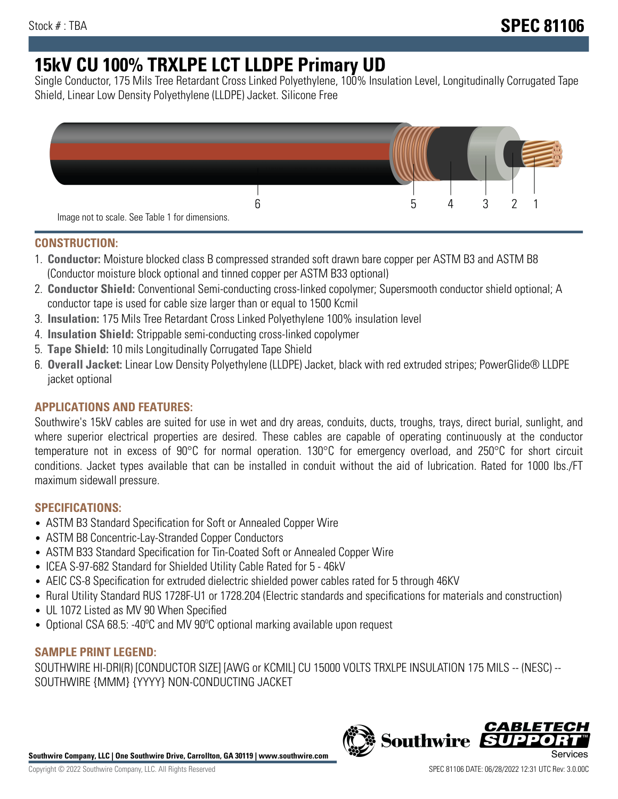# **15kV CU 100% TRXLPE LCT LLDPE Primary UD**

Single Conductor, 175 Mils Tree Retardant Cross Linked Polyethylene, 100% Insulation Level, Longitudinally Corrugated Tape Shield, Linear Low Density Polyethylene (LLDPE) Jacket. Silicone Free



## **CONSTRUCTION:**

- 1. **Conductor:** Moisture blocked class B compressed stranded soft drawn bare copper per ASTM B3 and ASTM B8 (Conductor moisture block optional and tinned copper per ASTM B33 optional)
- 2. **Conductor Shield:** Conventional Semi-conducting cross-linked copolymer; Supersmooth conductor shield optional; A conductor tape is used for cable size larger than or equal to 1500 Kcmil
- 3. **Insulation:** 175 Mils Tree Retardant Cross Linked Polyethylene 100% insulation level
- 4. **Insulation Shield:** Strippable semi-conducting cross-linked copolymer
- 5. **Tape Shield:** 10 mils Longitudinally Corrugated Tape Shield
- 6. **Overall Jacket:** Linear Low Density Polyethylene (LLDPE) Jacket, black with red extruded stripes; PowerGlide® LLDPE jacket optional

# **APPLICATIONS AND FEATURES:**

Southwire's 15kV cables are suited for use in wet and dry areas, conduits, ducts, troughs, trays, direct burial, sunlight, and where superior electrical properties are desired. These cables are capable of operating continuously at the conductor temperature not in excess of 90°C for normal operation. 130°C for emergency overload, and 250°C for short circuit conditions. Jacket types available that can be installed in conduit without the aid of lubrication. Rated for 1000 lbs./FT maximum sidewall pressure.

# **SPECIFICATIONS:**

- ASTM B3 Standard Specification for Soft or Annealed Copper Wire
- ASTM B8 Concentric-Lay-Stranded Copper Conductors
- ASTM B33 Standard Specification for Tin-Coated Soft or Annealed Copper Wire
- ICEA S-97-682 Standard for Shielded Utility Cable Rated for 5 46kV
- AEIC CS-8 Specification for extruded dielectric shielded power cables rated for 5 through 46KV
- Rural Utility Standard RUS 1728F-U1 or 1728.204 (Electric standards and specifications for materials and construction)
- UL 1072 Listed as MV 90 When Specified
- Optional CSA 68.5: -40ºC and MV 90ºC optional marking available upon request

# **SAMPLE PRINT LEGEND:**

SOUTHWIRE HI-DRI(R) [CONDUCTOR SIZE] [AWG or KCMIL] CU 15000 VOLTS TRXLPE INSULATION 175 MILS -- (NESC) -- SOUTHWIRE {MMM} {YYYY} NON-CONDUCTING JACKET

**Southwire Company, LLC | One Southwire Drive, Carrollton, GA 30119 | www.southwire.com**